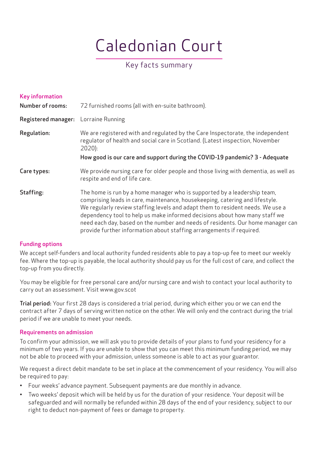# Caledonian Court

# Key facts summary

| Key information<br><b>Number of rooms:</b> | 72 furnished rooms (all with en-suite bathroom).                                                                                                                                                                                                                                                                                                                                                                                                                                    |
|--------------------------------------------|-------------------------------------------------------------------------------------------------------------------------------------------------------------------------------------------------------------------------------------------------------------------------------------------------------------------------------------------------------------------------------------------------------------------------------------------------------------------------------------|
| <b>Registered manager:</b>                 | Lorraine Running                                                                                                                                                                                                                                                                                                                                                                                                                                                                    |
| <b>Regulation:</b>                         | We are registered with and regulated by the Care Inspectorate, the independent<br>regulator of health and social care in Scotland. (Latest inspection, November<br>$2020$ :<br>How good is our care and support during the COVID-19 pandemic? 3 - Adequate                                                                                                                                                                                                                          |
| Care types:                                | We provide nursing care for older people and those living with dementia, as well as<br>respite and end of life care.                                                                                                                                                                                                                                                                                                                                                                |
| Staffing:                                  | The home is run by a home manager who is supported by a leadership team,<br>comprising leads in care, maintenance, housekeeping, catering and lifestyle.<br>We regularly review staffing levels and adapt them to resident needs. We use a<br>dependency tool to help us make informed decisions about how many staff we<br>need each day, based on the number and needs of residents. Our home manager can<br>provide further information about staffing arrangements if required. |

# Funding options

We accept self-funders and local authority funded residents able to pay a top-up fee to meet our weekly fee. Where the top-up is payable, the local authority should pay us for the full cost of care, and collect the top-up from you directly.

You may be eligible for free personal care and/or nursing care and wish to contact your local authority to carry out an assessment. Visit www.gov.scot

Trial period: Your first 28 days is considered a trial period, during which either you or we can end the contract after 7 days of serving written notice on the other. We will only end the contract during the trial period if we are unable to meet your needs.

# Requirements on admission

To confirm your admission, we will ask you to provide details of your plans to fund your residency for a minimum of two years. If you are unable to show that you can meet this minimum funding period, we may not be able to proceed with your admission, unless someone is able to act as your guarantor.

We request a direct debit mandate to be set in place at the commencement of your residency. You will also be required to pay:

- Four weeks' advance payment. Subsequent payments are due monthly in advance.
- Two weeks' deposit which will be held by us for the duration of your residence. Your deposit will be safeguarded and will normally be refunded within 28 days of the end of your residency, subject to our right to deduct non-payment of fees or damage to property.